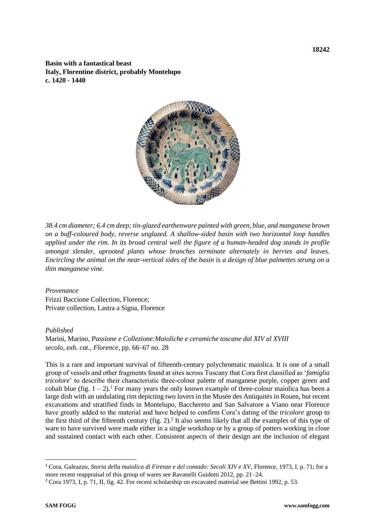**Basin with a fantastical beast Italy, Florentine district, probably Montelupo c. 1420 - 1440**



*38.4 cm diameter; 6.4 cm deep; tin-glazed earthenware painted with green, blue, and manganese brown on a buff-coloured body, reverse unglazed. A shallow-sided basin with two horizontal loop handles applied under the rim. In its broad central well the figure of a human-headed dog stands in profile amongst slender, uprooted plants whose branches terminate alternately in berries and leaves. Encircling the animal on the near-vertical sides of the basin is a design of blue palmettes strung on a thin manganese vine.* 

## *Provenance*

Frizzi Baccione Collection, Florence; Private collection, Lastra a Signa, Florence

## *Published*

Marini, Marino*, Passione e Collezione:Maioliche e ceramiche toscane dal XIV al XVIII secolo, exh. cat., Florence*, pp. 66–67 no. 28

This is a rare and important survival of fifteenth-century polychromatic maiolica. It is one of a small group of vessels and other fragments found at sites across Tuscany that Cora first classified as '*famiglia tricolore*' to describe their characteristic three-colour palette of manganese purple, copper green and cobalt blue (fig.  $1 - 2$ ).<sup>1</sup> For many years the only known example of three-colour maiolica has been a large dish with an undulating rim depicting two lovers in the Musée des Antiquités in Rouen, but recent excavations and stratified finds in Montelupo, Bacchereto and San Salvatore a Viano near Florence have greatly added to the material and have helped to confirm Cora's dating of the *tricolore* group to the first third of the fifteenth century (fig. 2). 2 It also seems likely that all the examples of this type of ware to have survived were made either in a single workshop or by a group of potters working in close and sustained contact with each other. Consistent aspects of their design are the inclusion of elegant

<sup>1</sup> Cora, Galeazzo, *Storia della maiolica di Firenze e del contado: Secoli XIV e XV*, Florence, 1973, I, p. 71; for a more recent reappraisal of this group of wares see Ravanelli Guidotti 2012, pp. 21–24.

<sup>2</sup> Cora 1973, I, p. 71, II, fig. 42. For recent scholarship on excavated material see Bettini 1992, p. 53.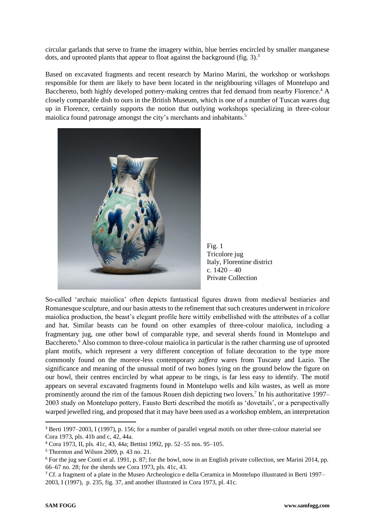circular garlands that serve to frame the imagery within, blue berries encircled by smaller manganese dots, and uprooted plants that appear to float against the background (fig. 3). 3

Based on excavated fragments and recent research by Marino Marini, the workshop or workshops responsible for them are likely to have been located in the neighbouring villages of Montelupo and Bacchereto, both highly developed pottery-making centres that fed demand from nearby Florence.<sup>4</sup> A closely comparable dish to ours in the British Museum, which is one of a number of Tuscan wares dug up in Florence, certainly supports the notion that outlying workshops specializing in three-colour maiolica found patronage amongst the city's merchants and inhabitants.<sup>5</sup>



Fig. 1 Tricolore jug Italy, Florentine district c. 1420 – 40 Private Collection

So-called 'archaic maiolica' often depicts fantastical figures drawn from medieval bestiaries and Romanesque sculpture, and our basin attests to the refinement that such creatures underwent in *tricolore* maiolica production, the beast's elegant profile here wittily embellished with the attributes of a collar and hat. Similar beasts can be found on other examples of three-colour maiolica, including a fragmentary jug, one other bowl of comparable type, and several sherds found in Montelupo and Bacchereto.<sup>6</sup> Also common to three-colour maiolica in particular is the rather charming use of uprooted plant motifs, which represent a very different conception of foliate decoration to the type more commonly found on the moreor-less contemporary *zaffera* wares from Tuscany and Lazio. The significance and meaning of the unusual motif of two bones lying on the ground below the figure on our bowl, their centres encircled by what appear to be rings, is far less easy to identify. The motif appears on several excavated fragments found in Montelupo wells and kiln wastes, as well as more prominently around the rim of the famous Rouen dish depicting two lovers.<sup>7</sup> In his authoritative 1997– 2003 study on Montelupo pottery, Fausto Berti described the motifs as 'dovetails', or a perspectivally warped jewelled ring, and proposed that it may have been used as a workshop emblem, an interpretation

<sup>3</sup> Berti 1997–2003, I (1997), p. 156; for a number of parallel vegetal motifs on other three-colour material see Cora 1973, pls. 41b and c, 42, 44a.

<sup>4</sup> Cora 1973, II, pls. 41c, 43, 44a; Bettini 1992, pp. 52–55 nos. 95–105.

<sup>5</sup> Thornton and Wilson 2009, p. 43 no. 21.

<sup>6</sup> For the jug see Conti et al. 1991, p. 87; for the bowl, now in an English private collection, see Marini 2014, pp. 66–67 no. 28; for the sherds see Cora 1973, pls. 41c, 43.

<sup>7</sup> Cf. a fragment of a plate in the Museo Archeologico e della Ceramica in Montelupo illustrated in Berti 1997– 2003, I (1997), p. 235, fig. 37, and another illustrated in Cora 1973, pl. 41c.